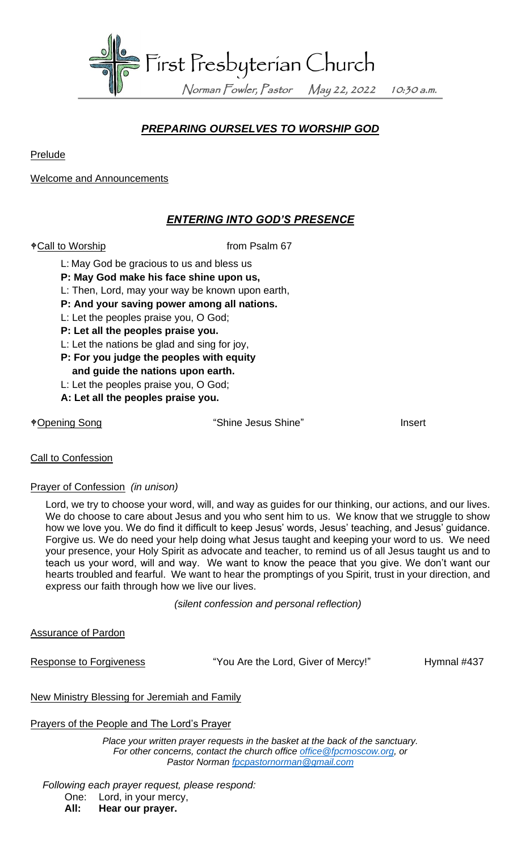

# *PREPARING OURSELVES TO WORSHIP GOD*

**Prelude** 

Welcome and Announcements

### *ENTERING INTO GOD'S PRESENCE*

 $\sqrt[4]{\text{Call to Workshop}}$  from Psalm 67

- L: May God be gracious to us and bless us
- **P: May God make his face shine upon us,**
- L: Then, Lord, may your way be known upon earth,
- **P: And your saving power among all nations.**
- L: Let the peoples praise you, O God;
- **P: Let all the peoples praise you.**
- L: Let the nations be glad and sing for joy,
- **P: For you judge the peoples with equity**
- **and guide the nations upon earth.**
- L: Let the peoples praise you, O God;
- **A: Let all the peoples praise you.**

Opening Song "Shine Jesus Shine" Insert

### **Call to Confession**

### Prayer of Confession *(in unison)*

Lord, we try to choose your word, will, and way as guides for our thinking, our actions, and our lives. We do choose to care about Jesus and you who sent him to us. We know that we struggle to show how we love you. We do find it difficult to keep Jesus' words, Jesus' teaching, and Jesus' guidance. Forgive us. We do need your help doing what Jesus taught and keeping your word to us. We need your presence, your Holy Spirit as advocate and teacher, to remind us of all Jesus taught us and to teach us your word, will and way. We want to know the peace that you give. We don't want our hearts troubled and fearful. We want to hear the promptings of you Spirit, trust in your direction, and express our faith through how we live our lives.

*(silent confession and personal reflection)*

Assurance of Pardon

Response to Forgiveness **The State of State 10** "You Are the Lord, Giver of Mercy!" Hymnal #437

### New Ministry Blessing for Jeremiah and Family

## Prayers of the People and The Lord's Prayer

*Place your written prayer requests in the basket at the back of the sanctuary. For other concerns, contact the church office [office@fpcmoscow.org,](mailto:office@fpcmoscow.org) or Pastor Norman [fpcpastornorman@gmail.com](mailto:fpcpastornorman@gmail.com)*

*Following each prayer request, please respond:*

One: Lord, in your mercy,

**All: Hear our prayer.**